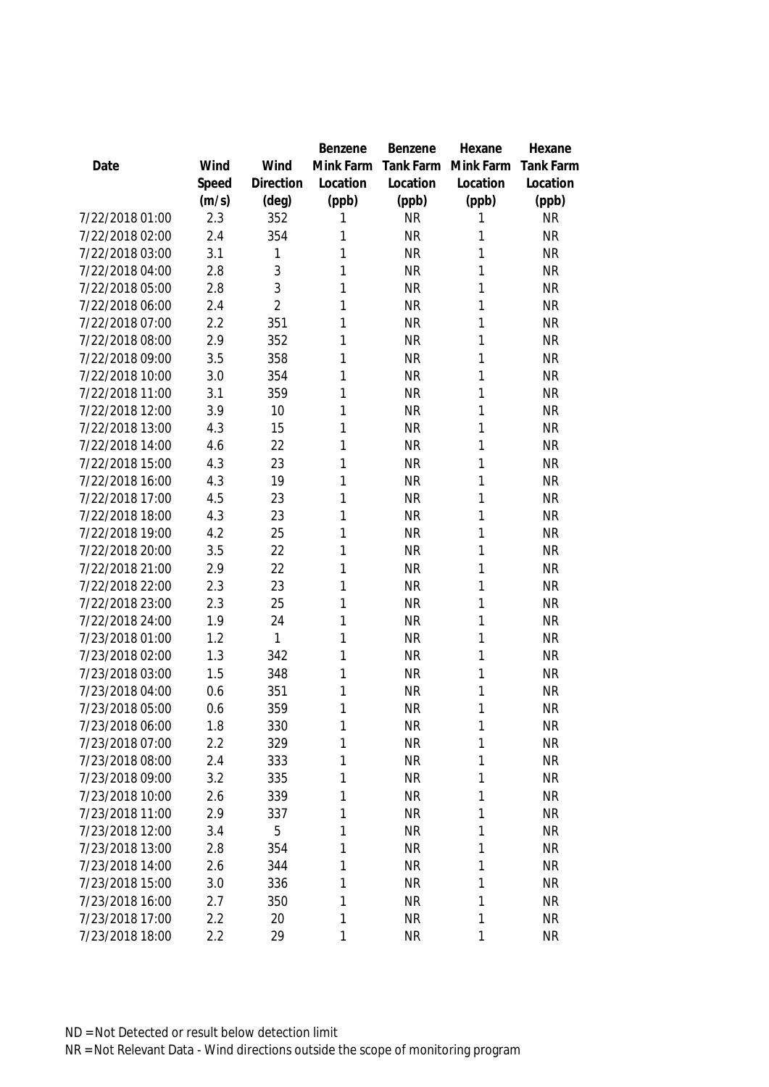|                 |       |                | Benzene      | Benzene   | Hexane    | Hexane           |
|-----------------|-------|----------------|--------------|-----------|-----------|------------------|
| Date            | Wind  | Wind           | Mink Farm    | Tank Farm | Mink Farm | <b>Tank Farm</b> |
|                 | Speed | Direction      | Location     | Location  | Location  | Location         |
|                 | (m/s) | (deg)          | (ppb)        | (ppb)     | (ppb)     | (ppb)            |
| 7/22/2018 01:00 | 2.3   | 352            | 1            | <b>NR</b> | 1         | <b>NR</b>        |
| 7/22/2018 02:00 | 2.4   | 354            | 1            | <b>NR</b> | 1         | <b>NR</b>        |
| 7/22/2018 03:00 | 3.1   | 1              | 1            | <b>NR</b> | 1         | <b>NR</b>        |
| 7/22/2018 04:00 | 2.8   | 3              | 1            | <b>NR</b> | 1         | <b>NR</b>        |
| 7/22/2018 05:00 | 2.8   | 3              | 1            | <b>NR</b> | 1         | <b>NR</b>        |
| 7/22/2018 06:00 | 2.4   | $\overline{2}$ | 1            | <b>NR</b> | 1         | <b>NR</b>        |
| 7/22/2018 07:00 | 2.2   | 351            | 1            | <b>NR</b> | 1         | <b>NR</b>        |
| 7/22/2018 08:00 | 2.9   | 352            | 1            | <b>NR</b> | 1         | <b>NR</b>        |
| 7/22/2018 09:00 | 3.5   | 358            | 1            | <b>NR</b> | 1         | <b>NR</b>        |
| 7/22/2018 10:00 | 3.0   | 354            | 1            | <b>NR</b> | 1         | <b>NR</b>        |
| 7/22/2018 11:00 | 3.1   | 359            | 1            | <b>NR</b> | 1         | <b>NR</b>        |
| 7/22/2018 12:00 | 3.9   | 10             | 1            | <b>NR</b> | 1         | <b>NR</b>        |
| 7/22/2018 13:00 | 4.3   | 15             | 1            | <b>NR</b> | 1         | <b>NR</b>        |
| 7/22/2018 14:00 | 4.6   | 22             | 1            | <b>NR</b> | 1         | <b>NR</b>        |
| 7/22/2018 15:00 | 4.3   | 23             | 1            | <b>NR</b> | 1         | <b>NR</b>        |
| 7/22/2018 16:00 | 4.3   | 19             | 1            | <b>NR</b> | 1         | <b>NR</b>        |
| 7/22/2018 17:00 | 4.5   | 23             | 1            | <b>NR</b> | 1         | <b>NR</b>        |
| 7/22/2018 18:00 | 4.3   | 23             | 1            | <b>NR</b> | 1         | <b>NR</b>        |
| 7/22/2018 19:00 | 4.2   | 25             | 1            | <b>NR</b> | 1         | <b>NR</b>        |
| 7/22/2018 20:00 | 3.5   | 22             | 1            | <b>NR</b> | 1         | <b>NR</b>        |
| 7/22/2018 21:00 | 2.9   | 22             | 1            | <b>NR</b> | 1         | <b>NR</b>        |
| 7/22/2018 22:00 | 2.3   | 23             | 1            | <b>NR</b> | 1         | <b>NR</b>        |
| 7/22/2018 23:00 | 2.3   | 25             | 1            | <b>NR</b> | 1         | <b>NR</b>        |
| 7/22/2018 24:00 | 1.9   | 24             | 1            | <b>NR</b> | 1         | <b>NR</b>        |
| 7/23/2018 01:00 | 1.2   | 1              | 1            | <b>NR</b> | 1         | <b>NR</b>        |
| 7/23/2018 02:00 | 1.3   | 342            | 1            | <b>NR</b> | 1         | <b>NR</b>        |
| 7/23/2018 03:00 | 1.5   | 348            | 1            | <b>NR</b> | 1         | <b>NR</b>        |
| 7/23/2018 04:00 | 0.6   | 351            | 1            | <b>NR</b> | 1         | <b>NR</b>        |
| 7/23/2018 05:00 | 0.6   | 359            | 1            | <b>NR</b> | 1         | <b>NR</b>        |
| 7/23/2018 06:00 | 1.8   | 330            | 1            | NR        | 1         | NR               |
| 7/23/2018 07:00 | 2.2   | 329            | 1            | <b>NR</b> | 1         | <b>NR</b>        |
| 7/23/2018 08:00 | 2.4   | 333            | 1            | <b>NR</b> | 1         | <b>NR</b>        |
| 7/23/2018 09:00 | 3.2   | 335            | 1            | <b>NR</b> | 1         | <b>NR</b>        |
| 7/23/2018 10:00 | 2.6   | 339            | 1            | <b>NR</b> | 1         | <b>NR</b>        |
| 7/23/2018 11:00 | 2.9   | 337            | 1            | <b>NR</b> | 1         | <b>NR</b>        |
| 7/23/2018 12:00 | 3.4   | 5              | $\mathbf{1}$ | <b>NR</b> | 1         | <b>NR</b>        |
| 7/23/2018 13:00 | 2.8   | 354            | $\mathbf{1}$ | <b>NR</b> | 1         | <b>NR</b>        |
| 7/23/2018 14:00 | 2.6   | 344            | 1            | <b>NR</b> | 1         | <b>NR</b>        |
| 7/23/2018 15:00 | 3.0   | 336            | 1            | <b>NR</b> | 1         | <b>NR</b>        |
| 7/23/2018 16:00 | 2.7   | 350            | 1            | <b>NR</b> | 1         | <b>NR</b>        |
| 7/23/2018 17:00 | 2.2   | 20             | 1            | NR        | 1         | <b>NR</b>        |
| 7/23/2018 18:00 | 2.2   | 29             | 1            | <b>NR</b> | 1         | <b>NR</b>        |
|                 |       |                |              |           |           |                  |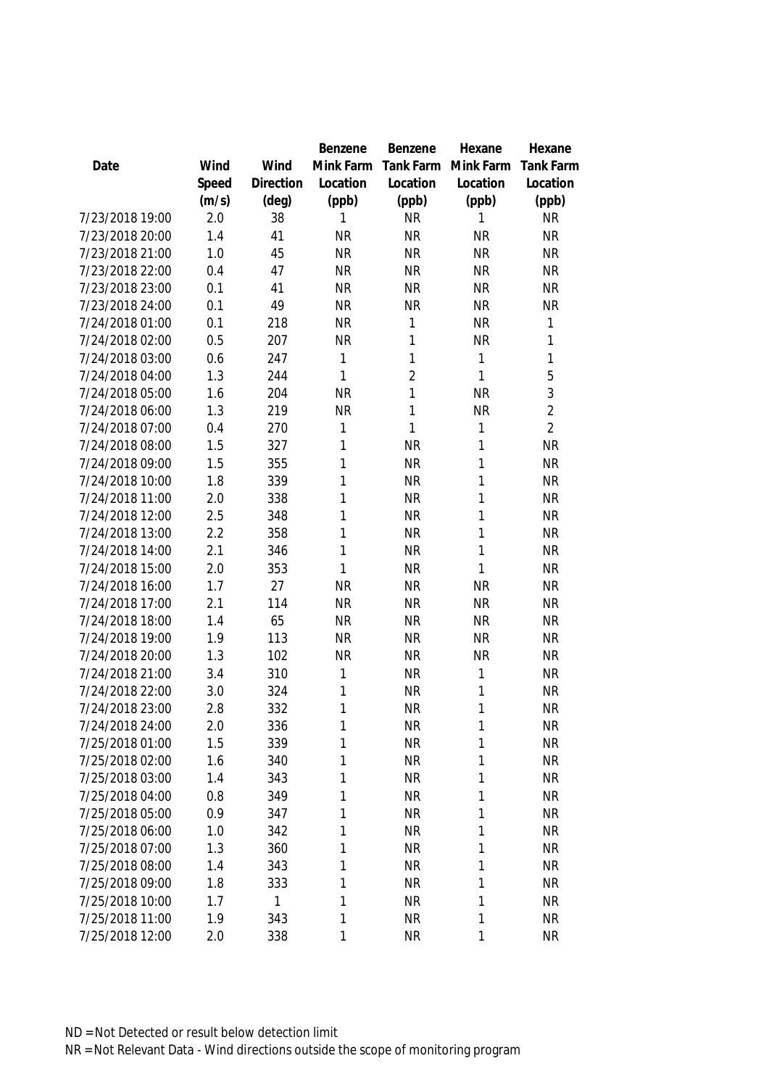|                 |       |           | Benzene   | Benzene        | Hexane       | Hexane           |
|-----------------|-------|-----------|-----------|----------------|--------------|------------------|
| Date            | Wind  | Wind      | Mink Farm | Tank Farm      | Mink Farm    | <b>Tank Farm</b> |
|                 | Speed | Direction | Location  | Location       | Location     | Location         |
|                 | (m/s) | (deg)     | (ppb)     | (ppb)          | (ppb)        | (ppb)            |
| 7/23/2018 19:00 | 2.0   | 38        | 1         | <b>NR</b>      | 1            | <b>NR</b>        |
| 7/23/2018 20:00 | 1.4   | 41        | <b>NR</b> | <b>NR</b>      | <b>NR</b>    | <b>NR</b>        |
| 7/23/2018 21:00 | 1.0   | 45        | <b>NR</b> | <b>NR</b>      | <b>NR</b>    | <b>NR</b>        |
| 7/23/2018 22:00 | 0.4   | 47        | <b>NR</b> | <b>NR</b>      | <b>NR</b>    | <b>NR</b>        |
| 7/23/2018 23:00 | 0.1   | 41        | <b>NR</b> | <b>NR</b>      | <b>NR</b>    | <b>NR</b>        |
| 7/23/2018 24:00 | 0.1   | 49        | <b>NR</b> | <b>NR</b>      | <b>NR</b>    | <b>NR</b>        |
| 7/24/2018 01:00 | 0.1   | 218       | <b>NR</b> | 1              | <b>NR</b>    | 1                |
| 7/24/2018 02:00 | 0.5   | 207       | <b>NR</b> | 1              | <b>NR</b>    | $\mathbf{1}$     |
| 7/24/2018 03:00 | 0.6   | 247       | 1         | 1              | $\mathbf{1}$ | $\mathbf{1}$     |
| 7/24/2018 04:00 | 1.3   | 244       | 1         | $\overline{2}$ | $\mathbf{1}$ | 5                |
| 7/24/2018 05:00 | 1.6   | 204       | <b>NR</b> | 1              | <b>NR</b>    | 3                |
| 7/24/2018 06:00 | 1.3   | 219       | <b>NR</b> | 1              | <b>NR</b>    | $\overline{2}$   |
| 7/24/2018 07:00 | 0.4   | 270       | 1         | 1              | 1            | $\overline{2}$   |
| 7/24/2018 08:00 | 1.5   | 327       | 1         | <b>NR</b>      | 1            | <b>NR</b>        |
| 7/24/2018 09:00 | 1.5   | 355       | 1         | <b>NR</b>      | 1            | <b>NR</b>        |
| 7/24/2018 10:00 | 1.8   | 339       | 1         | <b>NR</b>      | 1            | <b>NR</b>        |
| 7/24/2018 11:00 | 2.0   | 338       | 1         | <b>NR</b>      | 1            | <b>NR</b>        |
| 7/24/2018 12:00 | 2.5   | 348       | 1         | <b>NR</b>      | $\mathbf{1}$ | <b>NR</b>        |
| 7/24/2018 13:00 | 2.2   | 358       | 1         | <b>NR</b>      | $\mathbf{1}$ | <b>NR</b>        |
| 7/24/2018 14:00 | 2.1   | 346       | 1         | <b>NR</b>      | $\mathbf{1}$ | <b>NR</b>        |
| 7/24/2018 15:00 | 2.0   | 353       | 1         | <b>NR</b>      | 1            | <b>NR</b>        |
| 7/24/2018 16:00 | 1.7   | 27        | <b>NR</b> | <b>NR</b>      | <b>NR</b>    | <b>NR</b>        |
| 7/24/2018 17:00 | 2.1   | 114       | <b>NR</b> | <b>NR</b>      | <b>NR</b>    | <b>NR</b>        |
| 7/24/2018 18:00 | 1.4   | 65        | <b>NR</b> | <b>NR</b>      | <b>NR</b>    | <b>NR</b>        |
| 7/24/2018 19:00 | 1.9   | 113       | <b>NR</b> | <b>NR</b>      | <b>NR</b>    | <b>NR</b>        |
| 7/24/2018 20:00 | 1.3   | 102       | <b>NR</b> | <b>NR</b>      | <b>NR</b>    | <b>NR</b>        |
| 7/24/2018 21:00 | 3.4   | 310       | 1         | <b>NR</b>      | 1            | <b>NR</b>        |
| 7/24/2018 22:00 | 3.0   | 324       | 1         | <b>NR</b>      | 1            | <b>NR</b>        |
| 7/24/2018 23:00 | 2.8   | 332       | 1         | <b>NR</b>      | 1            | <b>NR</b>        |
| 7/24/2018 24:00 | 2.0   | 336       | 1         | <b>NR</b>      | 1            | <b>NR</b>        |
| 7/25/2018 01:00 | 1.5   | 339       | 1         | <b>NR</b>      | 1            | <b>NR</b>        |
| 7/25/2018 02:00 | 1.6   | 340       | 1         | <b>NR</b>      | 1            | <b>NR</b>        |
| 7/25/2018 03:00 | 1.4   | 343       | 1         | <b>NR</b>      | 1            | <b>NR</b>        |
| 7/25/2018 04:00 | 0.8   | 349       | 1         | <b>NR</b>      | 1            | <b>NR</b>        |
| 7/25/2018 05:00 | 0.9   | 347       | 1         | <b>NR</b>      | $\mathbf{1}$ | <b>NR</b>        |
| 7/25/2018 06:00 | 1.0   | 342       | 1         | <b>NR</b>      | 1            | <b>NR</b>        |
| 7/25/2018 07:00 | 1.3   | 360       | 1         | <b>NR</b>      | $\mathbf{1}$ | <b>NR</b>        |
| 7/25/2018 08:00 | 1.4   | 343       | 1         | <b>NR</b>      | 1            | <b>NR</b>        |
| 7/25/2018 09:00 | 1.8   | 333       | 1         | <b>NR</b>      | 1            | <b>NR</b>        |
| 7/25/2018 10:00 | 1.7   | 1         | 1         | <b>NR</b>      | $\mathbf{1}$ | <b>NR</b>        |
| 7/25/2018 11:00 | 1.9   | 343       | 1         | <b>NR</b>      | 1            | <b>NR</b>        |
| 7/25/2018 12:00 | 2.0   | 338       | 1         | <b>NR</b>      | 1            | <b>NR</b>        |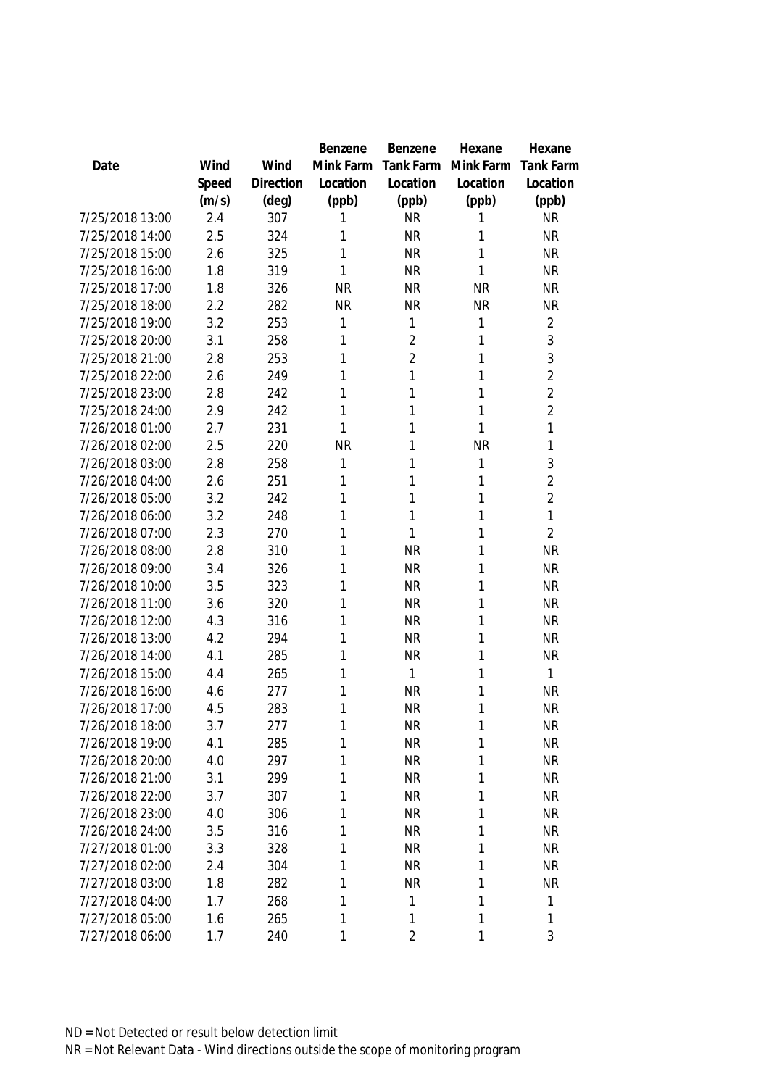|                 |       |           | Benzene   | Benzene        | Hexane    | Hexane           |
|-----------------|-------|-----------|-----------|----------------|-----------|------------------|
| Date            | Wind  | Wind      | Mink Farm | Tank Farm      | Mink Farm | <b>Tank Farm</b> |
|                 | Speed | Direction | Location  | Location       | Location  | Location         |
|                 | (m/s) | (deg)     | (ppb)     | (ppb)          | (ppb)     | (ppb)            |
| 7/25/2018 13:00 | 2.4   | 307       | 1         | <b>NR</b>      | 1         | <b>NR</b>        |
| 7/25/2018 14:00 | 2.5   | 324       | 1         | <b>NR</b>      | 1         | <b>NR</b>        |
| 7/25/2018 15:00 | 2.6   | 325       | 1         | <b>NR</b>      | 1         | <b>NR</b>        |
| 7/25/2018 16:00 | 1.8   | 319       | 1         | <b>NR</b>      | 1         | <b>NR</b>        |
| 7/25/2018 17:00 | 1.8   | 326       | <b>NR</b> | <b>NR</b>      | <b>NR</b> | <b>NR</b>        |
| 7/25/2018 18:00 | 2.2   | 282       | <b>NR</b> | <b>NR</b>      | <b>NR</b> | <b>NR</b>        |
| 7/25/2018 19:00 | 3.2   | 253       | 1         | 1              | 1         | $\overline{2}$   |
| 7/25/2018 20:00 | 3.1   | 258       | 1         | $\overline{2}$ | 1         | 3                |
| 7/25/2018 21:00 | 2.8   | 253       | 1         | $\overline{2}$ | 1         | 3                |
| 7/25/2018 22:00 | 2.6   | 249       | 1         | 1              | 1         | $\overline{2}$   |
| 7/25/2018 23:00 | 2.8   | 242       | 1         | 1              | 1         | $\overline{2}$   |
| 7/25/2018 24:00 | 2.9   | 242       | 1         | 1              | 1         | $\overline{2}$   |
| 7/26/2018 01:00 | 2.7   | 231       | 1         | 1              | 1         | 1                |
| 7/26/2018 02:00 | 2.5   | 220       | <b>NR</b> | 1              | <b>NR</b> | 1                |
| 7/26/2018 03:00 | 2.8   | 258       | 1         | 1              | 1         | 3                |
| 7/26/2018 04:00 | 2.6   | 251       | 1         | 1              | 1         | $\overline{2}$   |
| 7/26/2018 05:00 | 3.2   | 242       | 1         | 1              | 1         | $\overline{2}$   |
| 7/26/2018 06:00 | 3.2   | 248       | 1         | $\mathbf{1}$   | 1         | 1                |
| 7/26/2018 07:00 | 2.3   | 270       | 1         | $\mathbf{1}$   | 1         | $\overline{2}$   |
| 7/26/2018 08:00 | 2.8   | 310       | 1         | <b>NR</b>      | 1         | <b>NR</b>        |
| 7/26/2018 09:00 | 3.4   | 326       | 1         | <b>NR</b>      | 1         | <b>NR</b>        |
| 7/26/2018 10:00 | 3.5   | 323       | 1         | <b>NR</b>      | 1         | <b>NR</b>        |
| 7/26/2018 11:00 | 3.6   | 320       | 1         | <b>NR</b>      | 1         | <b>NR</b>        |
| 7/26/2018 12:00 | 4.3   | 316       | 1         | <b>NR</b>      | 1         | <b>NR</b>        |
| 7/26/2018 13:00 | 4.2   | 294       | 1         | <b>NR</b>      | 1         | <b>NR</b>        |
| 7/26/2018 14:00 | 4.1   | 285       | 1         | <b>NR</b>      | 1         | <b>NR</b>        |
| 7/26/2018 15:00 | 4.4   | 265       | 1         | $\mathbf{1}$   | 1         | 1                |
| 7/26/2018 16:00 | 4.6   | 277       | 1         | <b>NR</b>      | 1         | <b>NR</b>        |
| 7/26/2018 17:00 | 4.5   | 283       | 1         | <b>NR</b>      | 1         | <b>NR</b>        |
| 7/26/2018 18:00 | 3.7   | 277       | 1         | NR             | 1         | NR               |
| 7/26/2018 19:00 | 4.1   | 285       | 1         | <b>NR</b>      | 1         | <b>NR</b>        |
| 7/26/2018 20:00 | 4.0   | 297       | 1         | <b>NR</b>      | 1         | <b>NR</b>        |
| 7/26/2018 21:00 | 3.1   | 299       | 1         | <b>NR</b>      | 1         | <b>NR</b>        |
| 7/26/2018 22:00 | 3.7   | 307       | 1         | <b>NR</b>      | 1         | NR               |
| 7/26/2018 23:00 | 4.0   | 306       | 1         | <b>NR</b>      | 1         | <b>NR</b>        |
| 7/26/2018 24:00 | 3.5   | 316       | 1         | <b>NR</b>      | 1         | <b>NR</b>        |
| 7/27/2018 01:00 | 3.3   | 328       | 1         | <b>NR</b>      | 1         | <b>NR</b>        |
| 7/27/2018 02:00 | 2.4   | 304       | 1         | <b>NR</b>      | 1         | NR               |
| 7/27/2018 03:00 | 1.8   | 282       | 1         | <b>NR</b>      | 1         | <b>NR</b>        |
| 7/27/2018 04:00 | 1.7   | 268       | 1         | $\mathbf{1}$   | 1         | 1                |
| 7/27/2018 05:00 | 1.6   | 265       | 1         | $\mathbf{1}$   | 1         | 1                |
| 7/27/2018 06:00 | 1.7   | 240       | 1         | $\overline{2}$ | 1         | 3                |
|                 |       |           |           |                |           |                  |